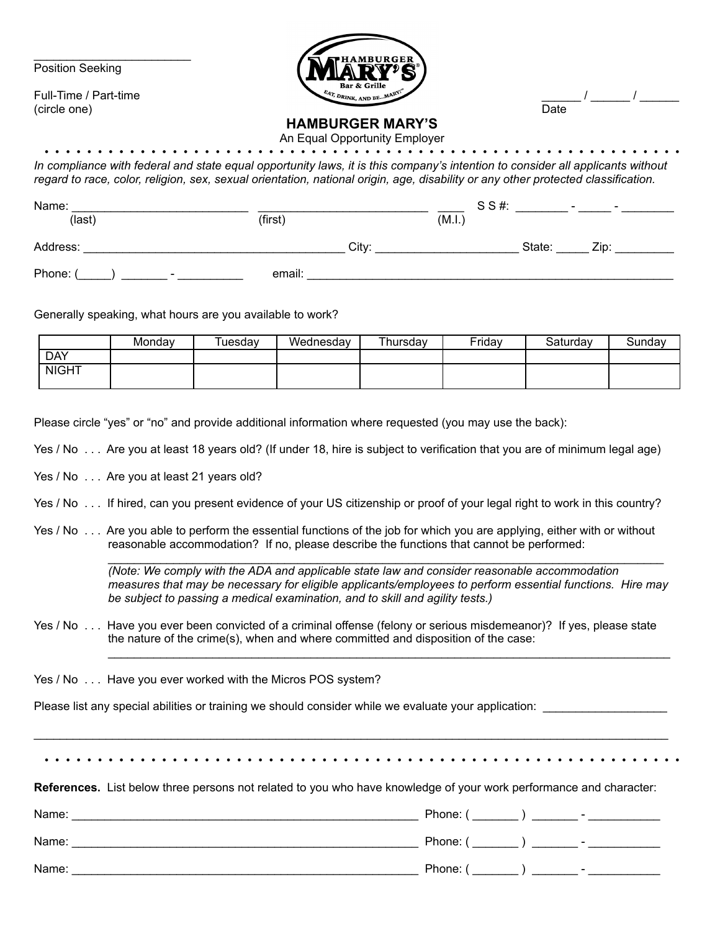Position Seeking

(circle one) Date

 $\mathcal{L}_\text{max}$  , where  $\mathcal{L}_\text{max}$  , we have the set of the set of the set of the set of the set of the set of the set of the set of the set of the set of the set of the set of the set of the set of the set of the set of



## **HAMBURGER MARY'S**

An Equal Opportunity Employer

• • • • • • • • • • • • • • • • • • • • • • • • • • • • • • • • • • • • • • • • • • • • • • • • • • • • • • • • • • • • *In compliance with federal and state equal opportunity laws, it is this company's intention to consider all applicants without regard to race, color, religion, sex, sexual orientation, national origin, age, disability or any other protected classification.*

| Name:<br>(last)                    | (first) |       | S S#<br>(M.I., | $\overline{\phantom{0}}$ | $\overline{\phantom{a}}$ |
|------------------------------------|---------|-------|----------------|--------------------------|--------------------------|
| Address:                           |         | City: |                | State:                   | Zip:                     |
| Phone:<br>$\overline{\phantom{0}}$ | email:  |       |                |                          |                          |

Generally speaking, what hours are you available to work?

|              | Mondav | Tuesdav | Wednesday | Thursdav | Fridav | Saturdav | Sundav |
|--------------|--------|---------|-----------|----------|--------|----------|--------|
| <b>DAY</b>   |        |         |           |          |        |          |        |
| <b>NIGHT</b> |        |         |           |          |        |          |        |
|              |        |         |           |          |        |          |        |

Please circle "yes" or "no" and provide additional information where requested (you may use the back):

Yes / No . . . Are you at least 18 years old? (If under 18, hire is subject to verification that you are of minimum legal age)

Yes / No . . . Are you at least 21 years old?

Yes / No . . . If hired, can you present evidence of your US citizenship or proof of your legal right to work in this country?

Yes / No . . . Are you able to perform the essential functions of the job for which you are applying, either with or without reasonable accommodation? If no, please describe the functions that cannot be performed:

> *(Note: We comply with the ADA and applicable state law and consider reasonable accommodation measures that may be necessary for eligible applicants/employees to perform essential functions. Hire may be subject to passing a medical examination, and to skill and agility tests.)*

> $\mathcal{L}_\text{max}$  , and the contribution of the contribution of the contribution of the contribution of the contribution of the contribution of the contribution of the contribution of the contribution of the contribution of t

 $\mathcal{L}_\text{G} = \{ \mathcal{L}_\text{G} = \{ \mathcal{L}_\text{G} = \{ \mathcal{L}_\text{G} = \{ \mathcal{L}_\text{G} = \{ \mathcal{L}_\text{G} = \{ \mathcal{L}_\text{G} = \{ \mathcal{L}_\text{G} = \{ \mathcal{L}_\text{G} = \{ \mathcal{L}_\text{G} = \{ \mathcal{L}_\text{G} = \{ \mathcal{L}_\text{G} = \{ \mathcal{L}_\text{G} = \{ \mathcal{L}_\text{G} = \{ \mathcal{L}_\text{G} = \{ \mathcal{L}_\text{G$ 

Yes / No . . . Have you ever been convicted of a criminal offense (felony or serious misdemeanor)? If yes, please state the nature of the crime(s), when and where committed and disposition of the case:

Yes / No . . . Have you ever worked with the Micros POS system?

Please list any special abilities or training we should consider while we evaluate your application:

• • • • • • • • • • • • • • • • • • • • • • • • • • • • • • • • • • • • • • • • • • • • • • • • • • • • • • • • • • • •

 $\mathcal{L}_\mathcal{L} = \{ \mathcal{L}_\mathcal{L} = \{ \mathcal{L}_\mathcal{L} = \{ \mathcal{L}_\mathcal{L} = \{ \mathcal{L}_\mathcal{L} = \{ \mathcal{L}_\mathcal{L} = \{ \mathcal{L}_\mathcal{L} = \{ \mathcal{L}_\mathcal{L} = \{ \mathcal{L}_\mathcal{L} = \{ \mathcal{L}_\mathcal{L} = \{ \mathcal{L}_\mathcal{L} = \{ \mathcal{L}_\mathcal{L} = \{ \mathcal{L}_\mathcal{L} = \{ \mathcal{L}_\mathcal{L} = \{ \mathcal{L}_\mathcal{$ 

**References.** List below three persons not related to you who have knowledge of your work performance and character:

| Name: | Phone: (<br>$\overline{\phantom{a}}$ |
|-------|--------------------------------------|
| Name: | Phone: (<br>$\sim$                   |
| Name: | Phone: (<br>$\overline{a}$           |